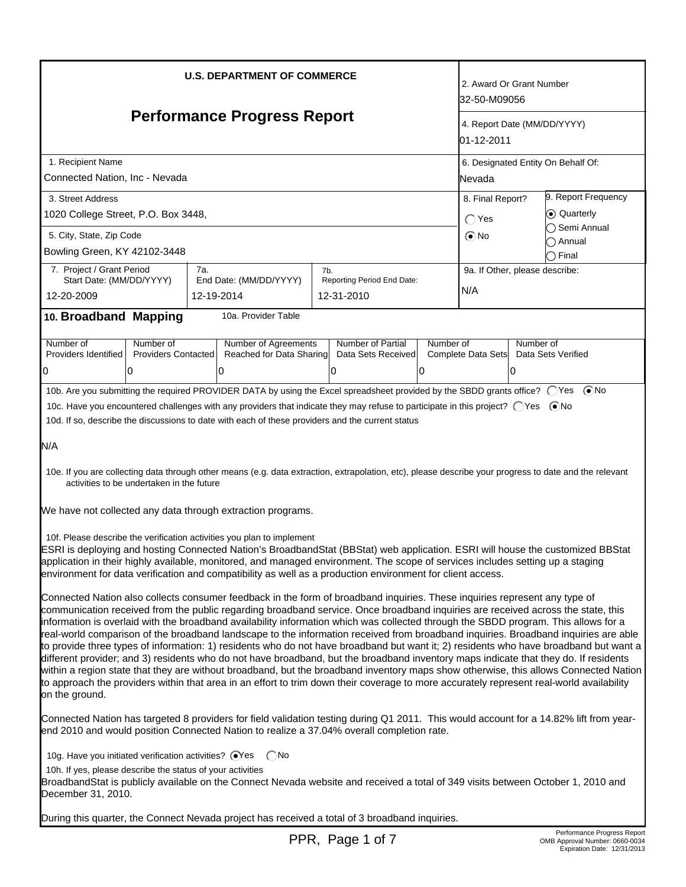| <b>U.S. DEPARTMENT OF COMMERCE</b><br><b>Performance Progress Report</b>                                                                                                                                                                                                                                                                                                                                                                                                                                                                                                                                                                                                                                                                                                                                                                                                                                                                                                                                                                                                                                                            |                                                                                                                                                                                                                                                                                                                                                                                                                                                                                                                                                                                                                                                                                                                                                                                                                                                                                                                                                                                                                                                                                                            |     |                                                              |     | 2. Award Or Grant Number<br>32-50-M09056<br>4. Report Date (MM/DD/YYYY)<br>01-12-2011 |                                                                             |                                       |                                      |                                                     |
|-------------------------------------------------------------------------------------------------------------------------------------------------------------------------------------------------------------------------------------------------------------------------------------------------------------------------------------------------------------------------------------------------------------------------------------------------------------------------------------------------------------------------------------------------------------------------------------------------------------------------------------------------------------------------------------------------------------------------------------------------------------------------------------------------------------------------------------------------------------------------------------------------------------------------------------------------------------------------------------------------------------------------------------------------------------------------------------------------------------------------------------|------------------------------------------------------------------------------------------------------------------------------------------------------------------------------------------------------------------------------------------------------------------------------------------------------------------------------------------------------------------------------------------------------------------------------------------------------------------------------------------------------------------------------------------------------------------------------------------------------------------------------------------------------------------------------------------------------------------------------------------------------------------------------------------------------------------------------------------------------------------------------------------------------------------------------------------------------------------------------------------------------------------------------------------------------------------------------------------------------------|-----|--------------------------------------------------------------|-----|---------------------------------------------------------------------------------------|-----------------------------------------------------------------------------|---------------------------------------|--------------------------------------|-----------------------------------------------------|
|                                                                                                                                                                                                                                                                                                                                                                                                                                                                                                                                                                                                                                                                                                                                                                                                                                                                                                                                                                                                                                                                                                                                     |                                                                                                                                                                                                                                                                                                                                                                                                                                                                                                                                                                                                                                                                                                                                                                                                                                                                                                                                                                                                                                                                                                            |     |                                                              |     |                                                                                       |                                                                             |                                       |                                      | 1. Recipient Name<br>Connected Nation, Inc - Nevada |
| 3. Street Address<br>1020 College Street, P.O. Box 3448,<br>5. City, State, Zip Code                                                                                                                                                                                                                                                                                                                                                                                                                                                                                                                                                                                                                                                                                                                                                                                                                                                                                                                                                                                                                                                |                                                                                                                                                                                                                                                                                                                                                                                                                                                                                                                                                                                                                                                                                                                                                                                                                                                                                                                                                                                                                                                                                                            |     |                                                              |     |                                                                                       | 8. Final Report?<br>C Quarterly<br>$\bigcirc$ Yes<br>$\odot$ No<br>) Annual |                                       | 9. Report Frequency<br>∩ Semi Annual |                                                     |
| Bowling Green, KY 42102-3448                                                                                                                                                                                                                                                                                                                                                                                                                                                                                                                                                                                                                                                                                                                                                                                                                                                                                                                                                                                                                                                                                                        |                                                                                                                                                                                                                                                                                                                                                                                                                                                                                                                                                                                                                                                                                                                                                                                                                                                                                                                                                                                                                                                                                                            |     |                                                              |     |                                                                                       |                                                                             |                                       |                                      | ◯ Final                                             |
| 7. Project / Grant Period<br>Start Date: (MM/DD/YYYY)<br>12-20-2009                                                                                                                                                                                                                                                                                                                                                                                                                                                                                                                                                                                                                                                                                                                                                                                                                                                                                                                                                                                                                                                                 |                                                                                                                                                                                                                                                                                                                                                                                                                                                                                                                                                                                                                                                                                                                                                                                                                                                                                                                                                                                                                                                                                                            | 7а. | End Date: (MM/DD/YYYY)<br>12-19-2014                         | 7b. | Reporting Period End Date:<br>12-31-2010                                              |                                                                             | 9a. If Other, please describe:<br>N/A |                                      |                                                     |
| 10. Broadband Mapping                                                                                                                                                                                                                                                                                                                                                                                                                                                                                                                                                                                                                                                                                                                                                                                                                                                                                                                                                                                                                                                                                                               |                                                                                                                                                                                                                                                                                                                                                                                                                                                                                                                                                                                                                                                                                                                                                                                                                                                                                                                                                                                                                                                                                                            |     | 10a. Provider Table                                          |     |                                                                                       |                                                                             |                                       |                                      |                                                     |
| Number of<br>Providers Identified<br>0                                                                                                                                                                                                                                                                                                                                                                                                                                                                                                                                                                                                                                                                                                                                                                                                                                                                                                                                                                                                                                                                                              | Number of<br><b>Providers Contacted</b><br>0                                                                                                                                                                                                                                                                                                                                                                                                                                                                                                                                                                                                                                                                                                                                                                                                                                                                                                                                                                                                                                                               |     | <b>Number of Agreements</b><br>Reached for Data Sharing<br>0 |     | Number of Partial<br>Data Sets Received<br>10                                         | Number of<br>10                                                             | Complete Data Sets                    | Number of<br>0                       | Data Sets Verified                                  |
| N/A                                                                                                                                                                                                                                                                                                                                                                                                                                                                                                                                                                                                                                                                                                                                                                                                                                                                                                                                                                                                                                                                                                                                 | 10b. Are you submitting the required PROVIDER DATA by using the Excel spreadsheet provided by the SBDD grants office? ○ Yes ● No<br>10c. Have you encountered challenges with any providers that indicate they may refuse to participate in this project? ○ Yes ● No<br>10d. If so, describe the discussions to date with each of these providers and the current status<br>10e. If you are collecting data through other means (e.g. data extraction, extrapolation, etc), please describe your progress to date and the relevant<br>activities to be undertaken in the future<br>We have not collected any data through extraction programs.<br>10f. Please describe the verification activities you plan to implement<br>ESRI is deploying and hosting Connected Nation's BroadbandStat (BBStat) web application. ESRI will house the customized BBStat<br>application in their highly available, monitored, and managed environment. The scope of services includes setting up a staging<br>environment for data verification and compatibility as well as a production environment for client access. |     |                                                              |     |                                                                                       |                                                                             |                                       |                                      |                                                     |
| Connected Nation also collects consumer feedback in the form of broadband inquiries. These inquiries represent any type of<br>communication received from the public regarding broadband service. Once broadband inquiries are received across the state, this<br>information is overlaid with the broadband availability information which was collected through the SBDD program. This allows for a<br>real-world comparison of the broadband landscape to the information received from broadband inquiries. Broadband inquiries are able<br>to provide three types of information: 1) residents who do not have broadband but want it; 2) residents who have broadband but want a<br>different provider; and 3) residents who do not have broadband, but the broadband inventory maps indicate that they do. If residents<br>within a region state that they are without broadband, but the broadband inventory maps show otherwise, this allows Connected Nation<br>to approach the providers within that area in an effort to trim down their coverage to more accurately represent real-world availability<br>on the ground. |                                                                                                                                                                                                                                                                                                                                                                                                                                                                                                                                                                                                                                                                                                                                                                                                                                                                                                                                                                                                                                                                                                            |     |                                                              |     |                                                                                       |                                                                             |                                       |                                      |                                                     |
|                                                                                                                                                                                                                                                                                                                                                                                                                                                                                                                                                                                                                                                                                                                                                                                                                                                                                                                                                                                                                                                                                                                                     | Connected Nation has targeted 8 providers for field validation testing during Q1 2011. This would account for a 14.82% lift from year-<br>end 2010 and would position Connected Nation to realize a 37.04% overall completion rate.                                                                                                                                                                                                                                                                                                                                                                                                                                                                                                                                                                                                                                                                                                                                                                                                                                                                        |     |                                                              |     |                                                                                       |                                                                             |                                       |                                      |                                                     |
| 10g. Have you initiated verification activities? @Yes<br>( )No<br>10h. If yes, please describe the status of your activities<br>BroadbandStat is publicly available on the Connect Nevada website and received a total of 349 visits between October 1, 2010 and<br>December 31, 2010.<br>During this quarter, the Connect Nevada project has received a total of 3 broadband inquiries.                                                                                                                                                                                                                                                                                                                                                                                                                                                                                                                                                                                                                                                                                                                                            |                                                                                                                                                                                                                                                                                                                                                                                                                                                                                                                                                                                                                                                                                                                                                                                                                                                                                                                                                                                                                                                                                                            |     |                                                              |     |                                                                                       |                                                                             |                                       |                                      |                                                     |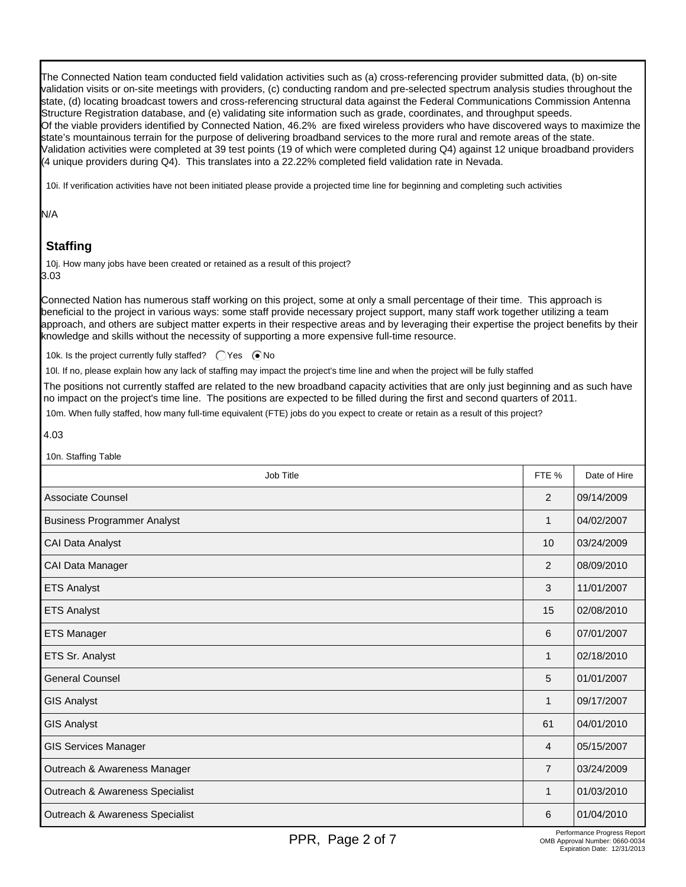Γ The Connected Nation team conducted field validation activities such as (a) cross-referencing provider submitted data, (b) on-site validation visits or on-site meetings with providers, (c) conducting random and pre-selected spectrum analysis studies throughout the state, (d) locating broadcast towers and cross-referencing structural data against the Federal Communications Commission Antenna Structure Registration database, and (e) validating site information such as grade, coordinates, and throughput speeds. Of the viable providers identified by Connected Nation, 46.2% are fixed wireless providers who have discovered ways to maximize the state's mountainous terrain for the purpose of delivering broadband services to the more rural and remote areas of the state. Validation activities were completed at 39 test points (19 of which were completed during Q4) against 12 unique broadband providers (4 unique providers during Q4). This translates into a 22.22% completed field validation rate in Nevada.

10i. If verification activities have not been initiated please provide a projected time line for beginning and completing such activities

#### N/A

## **Staffing**

10j. How many jobs have been created or retained as a result of this project? 3.03

Connected Nation has numerous staff working on this project, some at only a small percentage of their time. This approach is beneficial to the project in various ways: some staff provide necessary project support, many staff work together utilizing a team approach, and others are subject matter experts in their respective areas and by leveraging their expertise the project benefits by their knowledge and skills without the necessity of supporting a more expensive full-time resource.

10k. Is the project currently fully staffed?  $\bigcirc$  Yes  $\bigcirc$  No

10l. If no, please explain how any lack of staffing may impact the project's time line and when the project will be fully staffed

The positions not currently staffed are related to the new broadband capacity activities that are only just beginning and as such have no impact on the project's time line. The positions are expected to be filled during the first and second quarters of 2011.

10m. When fully staffed, how many full-time equivalent (FTE) jobs do you expect to create or retain as a result of this project?

#### 4.03

| 10n. Staffing Table                |                |              |
|------------------------------------|----------------|--------------|
| Job Title                          | FTE %          | Date of Hire |
| Associate Counsel                  | 2              | 09/14/2009   |
| <b>Business Programmer Analyst</b> | 1              | 04/02/2007   |
| CAI Data Analyst                   | 10             | 03/24/2009   |
| CAI Data Manager                   | 2              | 08/09/2010   |
| <b>ETS Analyst</b>                 | 3              | 11/01/2007   |
| <b>ETS Analyst</b>                 | 15             | 02/08/2010   |
| ETS Manager                        | 6              | 07/01/2007   |
| ETS Sr. Analyst                    | 1              | 02/18/2010   |
| <b>General Counsel</b>             | 5              | 01/01/2007   |
| GIS Analyst                        | 1              | 09/17/2007   |
| <b>GIS Analyst</b>                 | 61             | 04/01/2010   |
| <b>GIS Services Manager</b>        | 4              | 05/15/2007   |
| Outreach & Awareness Manager       | $\overline{7}$ | 03/24/2009   |
| Outreach & Awareness Specialist    | 1              | 01/03/2010   |
| Outreach & Awareness Specialist    | 6              | 01/04/2010   |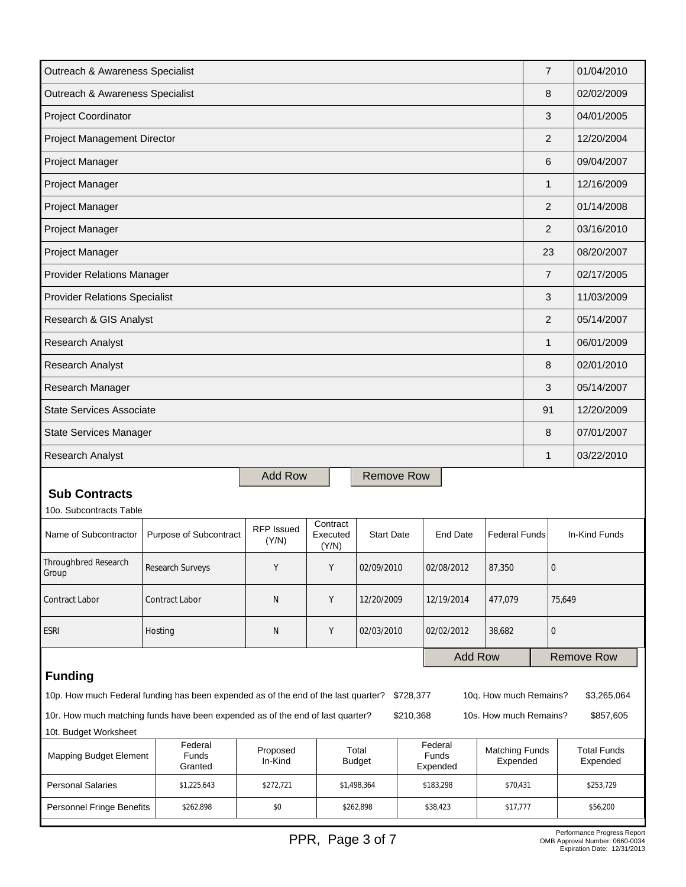| Outreach & Awareness Specialist                                                                         |           |                             |                            |                               |                        |           |                              | $\overline{7}$                    |                  | 01/04/2010 |                                |
|---------------------------------------------------------------------------------------------------------|-----------|-----------------------------|----------------------------|-------------------------------|------------------------|-----------|------------------------------|-----------------------------------|------------------|------------|--------------------------------|
| Outreach & Awareness Specialist                                                                         |           |                             |                            |                               |                        |           |                              |                                   | 8                |            | 02/02/2009                     |
| Project Coordinator                                                                                     |           |                             |                            |                               |                        |           |                              |                                   | 3                |            | 04/01/2005                     |
| <b>Project Management Director</b>                                                                      |           |                             |                            |                               |                        |           |                              | 2                                 |                  | 12/20/2004 |                                |
| Project Manager                                                                                         |           |                             |                            |                               |                        |           |                              |                                   | 6                |            | 09/04/2007                     |
| Project Manager                                                                                         |           |                             |                            |                               |                        |           |                              |                                   | 1                |            | 12/16/2009                     |
| Project Manager                                                                                         |           |                             |                            |                               |                        |           |                              |                                   | $\overline{2}$   |            | 01/14/2008                     |
| Project Manager                                                                                         |           |                             |                            |                               |                        |           |                              |                                   | 2                |            | 03/16/2010                     |
| Project Manager                                                                                         |           |                             |                            |                               |                        |           |                              |                                   | 23               |            | 08/20/2007                     |
| <b>Provider Relations Manager</b>                                                                       |           |                             |                            |                               |                        |           |                              |                                   | $\overline{7}$   |            | 02/17/2005                     |
| <b>Provider Relations Specialist</b>                                                                    |           |                             |                            |                               |                        |           |                              |                                   | 3                |            | 11/03/2009                     |
| Research & GIS Analyst                                                                                  |           |                             |                            |                               |                        |           |                              |                                   | 2                |            | 05/14/2007                     |
| <b>Research Analyst</b>                                                                                 |           |                             |                            |                               |                        |           |                              |                                   | $\mathbf{1}$     |            | 06/01/2009                     |
| Research Analyst                                                                                        |           |                             |                            |                               |                        |           |                              |                                   | 8                |            | 02/01/2010                     |
| Research Manager                                                                                        |           |                             |                            |                               |                        |           |                              |                                   | 3                |            | 05/14/2007                     |
| <b>State Services Associate</b>                                                                         |           |                             |                            |                               |                        |           |                              |                                   | 91               |            | 12/20/2009                     |
| <b>State Services Manager</b>                                                                           |           |                             |                            |                               |                        |           |                              | 8                                 |                  | 07/01/2007 |                                |
| Research Analyst                                                                                        |           |                             |                            |                               |                        |           |                              | $\mathbf{1}$                      |                  | 03/22/2010 |                                |
|                                                                                                         |           |                             | <b>Add Row</b>             |                               | <b>Remove Row</b>      |           |                              |                                   |                  |            |                                |
| <b>Sub Contracts</b><br>10o. Subcontracts Table                                                         |           |                             |                            |                               |                        |           |                              |                                   |                  |            |                                |
| Name of Subcontractor                                                                                   |           | Purpose of Subcontract      | <b>RFP Issued</b><br>(Y/N) | Contract<br>Executed<br>(Y/N) | <b>Start Date</b>      |           | <b>End Date</b>              | <b>Federal Funds</b>              |                  |            | In-Kind Funds                  |
| Throughbred Research<br>Group                                                                           |           | Research Surveys            | Y                          | Υ                             | 02/09/2010             |           | 02/08/2012                   | 87,350                            | $\boldsymbol{0}$ |            |                                |
| Contract Labor                                                                                          |           | Contract Labor              | $\mathsf{N}$               | Y                             | 12/20/2009             |           | 12/19/2014<br>477,079        |                                   | 75,649           |            |                                |
| <b>ESRI</b>                                                                                             |           | Hosting                     | N                          | Y                             | 02/03/2010             |           | 02/02/2012                   | 38,682                            | $\mathbf 0$      |            |                                |
| <b>Add Row</b>                                                                                          |           |                             |                            |                               |                        |           |                              | <b>Remove Row</b>                 |                  |            |                                |
| <b>Funding</b>                                                                                          |           |                             |                            |                               |                        |           |                              |                                   |                  |            |                                |
| 10p. How much Federal funding has been expended as of the end of the last quarter?                      |           |                             |                            |                               |                        | \$728,377 |                              | 10q. How much Remains?            |                  |            | \$3,265,064                    |
| 10r. How much matching funds have been expended as of the end of last quarter?<br>10t. Budget Worksheet |           |                             |                            |                               |                        | \$210,368 |                              | 10s. How much Remains?            |                  |            | \$857,605                      |
| <b>Mapping Budget Element</b>                                                                           |           | Federal<br>Funds<br>Granted | Proposed<br>In-Kind        |                               | Total<br><b>Budget</b> |           | Federal<br>Funds<br>Expended | <b>Matching Funds</b><br>Expended |                  |            | <b>Total Funds</b><br>Expended |
| <b>Personal Salaries</b>                                                                                |           | \$1,225,643                 | \$272,721                  |                               | \$1,498,364            |           | \$183,298                    | \$70,431                          |                  |            | \$253,729                      |
| Personnel Fringe Benefits                                                                               | \$262,898 |                             | \$0                        |                               | \$262,898              | \$38,423  |                              | \$17,777                          |                  |            | \$56,200                       |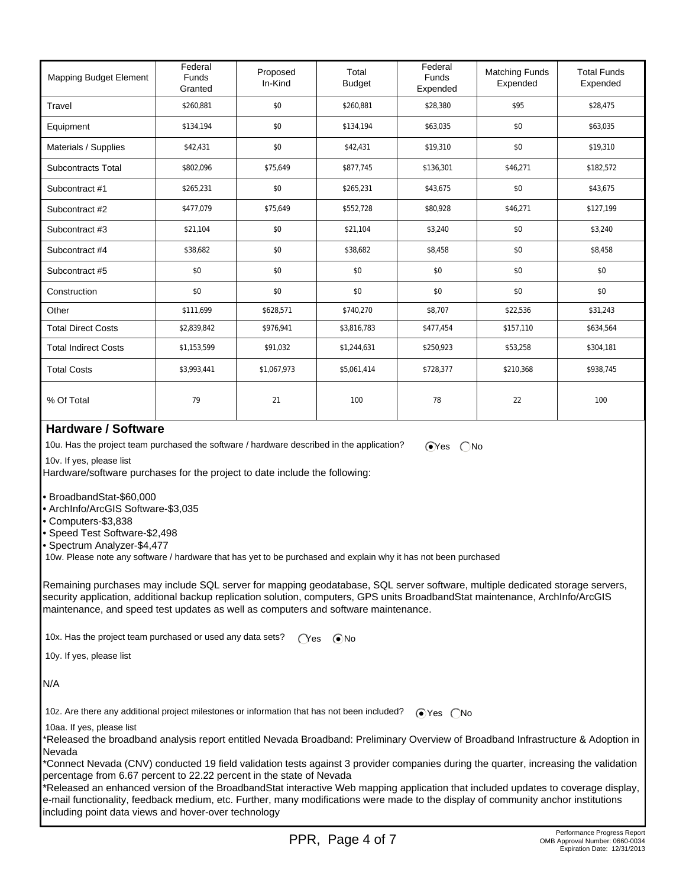| <b>Mapping Budget Element</b> | Federal<br><b>Funds</b><br>Granted | Proposed<br>In-Kind | Total<br><b>Budget</b> | Federal<br><b>Funds</b><br>Expended | <b>Matching Funds</b><br>Expended | <b>Total Funds</b><br>Expended |
|-------------------------------|------------------------------------|---------------------|------------------------|-------------------------------------|-----------------------------------|--------------------------------|
| Travel                        | \$260,881                          | \$0                 | \$260,881              | \$28,380                            | \$95                              | \$28,475                       |
| Equipment                     | \$134,194                          | \$0                 | \$134,194              | \$63,035                            | \$0                               | \$63,035                       |
| Materials / Supplies          | \$42,431                           | \$0                 | \$42,431               | \$19,310                            | \$0                               | \$19,310                       |
| <b>Subcontracts Total</b>     | \$802,096                          | \$75,649            | \$877,745              | \$136,301                           | \$46,271                          | \$182,572                      |
| Subcontract #1                | \$265,231                          | \$0                 | \$265,231              | \$43,675                            | \$0                               | \$43,675                       |
| Subcontract #2                | \$477,079                          | \$75,649            | \$552,728              | \$80,928                            | \$46,271                          | \$127,199                      |
| Subcontract #3                | \$21,104                           | \$0                 | \$21,104               | \$3,240                             | \$0                               | \$3,240                        |
| Subcontract #4                | \$38,682                           | \$0                 | \$38,682               | \$8,458                             | \$0                               | \$8,458                        |
| Subcontract #5                | \$0                                | \$0                 | \$0                    | \$0                                 | \$0                               | \$0                            |
| Construction                  | \$0                                | \$0                 | \$0                    | \$0                                 | \$0                               | \$0                            |
| Other                         | \$111,699                          | \$628,571           | \$740,270              | \$8,707                             | \$22,536                          | \$31,243                       |
| <b>Total Direct Costs</b>     | \$2,839,842                        | \$976,941           | \$3,816,783            | \$477,454                           | \$157,110                         | \$634,564                      |
| <b>Total Indirect Costs</b>   | \$1,153,599                        | \$91,032            | \$1,244,631            | \$250,923                           | \$53,258                          | \$304,181                      |
| <b>Total Costs</b>            | \$3,993,441                        | \$1,067,973         | \$5,061,414            | \$728,377                           | \$210,368                         | \$938,745                      |
| % Of Total                    | 79                                 | 21                  | 100                    | 78                                  | 22                                | 100                            |

#### **Hardware / Software**

10u. Has the project team purchased the software / hardware described in the application?  $\bigcirc$ Yes  $\bigcirc$ No

10v. If yes, please list

Hardware/software purchases for the project to date include the following:

- BroadbandStat-\$60,000
- ArchInfo/ArcGIS Software-\$3,035
- Computers-\$3,838
- Speed Test Software-\$2,498
- Spectrum Analyzer-\$4,477

10w. Please note any software / hardware that has yet to be purchased and explain why it has not been purchased

Remaining purchases may include SQL server for mapping geodatabase, SQL server software, multiple dedicated storage servers, security application, additional backup replication solution, computers, GPS units BroadbandStat maintenance, ArchInfo/ArcGIS maintenance, and speed test updates as well as computers and software maintenance.

10x. Has the project team purchased or used any data sets?  $\bigcap$ es  $\bigcirc$ No

10y. If yes, please list

N/A

10z. Are there any additional project milestones or information that has not been included?  $\bigcirc$  Yes  $\bigcirc$  No

10aa. If yes, please list

\*Released the broadband analysis report entitled Nevada Broadband: Preliminary Overview of Broadband Infrastructure & Adoption in Nevada

\*Connect Nevada (CNV) conducted 19 field validation tests against 3 provider companies during the quarter, increasing the validation percentage from 6.67 percent to 22.22 percent in the state of Nevada

\*Released an enhanced version of the BroadbandStat interactive Web mapping application that included updates to coverage display, e-mail functionality, feedback medium, etc. Further, many modifications were made to the display of community anchor institutions including point data views and hover-over technology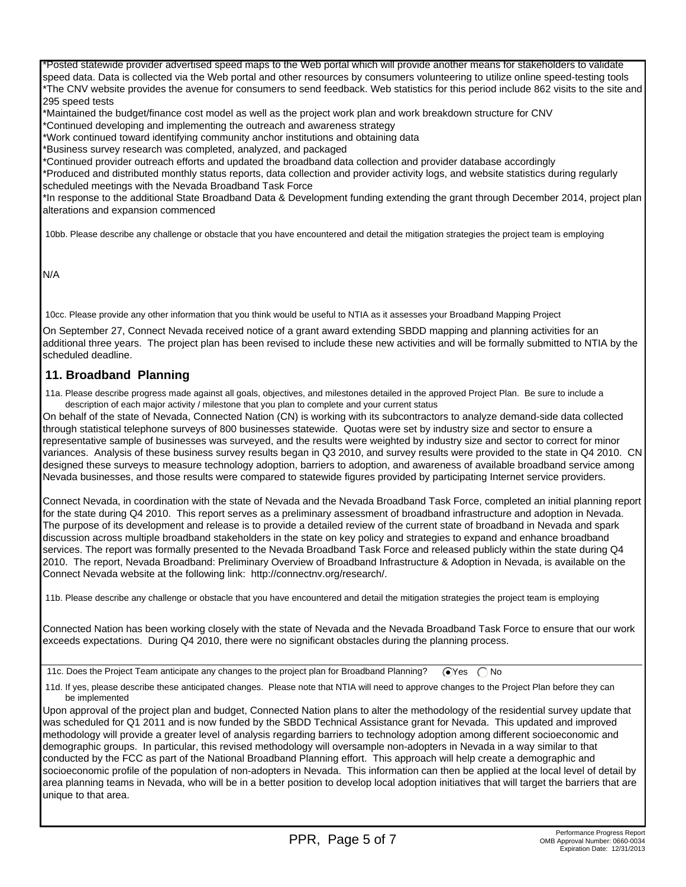\*Posted statewide provider advertised speed maps to the Web portal which will provide another means for stakeholders to validate speed data. Data is collected via the Web portal and other resources by consumers volunteering to utilize online speed-testing tools \*The CNV website provides the avenue for consumers to send feedback. Web statistics for this period include 862 visits to the site and 295 speed tests

\*Maintained the budget/finance cost model as well as the project work plan and work breakdown structure for CNV

\*Continued developing and implementing the outreach and awareness strategy \*Work continued toward identifying community anchor institutions and obtaining data

\*Business survey research was completed, analyzed, and packaged

\*Continued provider outreach efforts and updated the broadband data collection and provider database accordingly

\*Produced and distributed monthly status reports, data collection and provider activity logs, and website statistics during regularly scheduled meetings with the Nevada Broadband Task Force

\*In response to the additional State Broadband Data & Development funding extending the grant through December 2014, project plan alterations and expansion commenced

10bb. Please describe any challenge or obstacle that you have encountered and detail the mitigation strategies the project team is employing

N/A

10cc. Please provide any other information that you think would be useful to NTIA as it assesses your Broadband Mapping Project

On September 27, Connect Nevada received notice of a grant award extending SBDD mapping and planning activities for an additional three years. The project plan has been revised to include these new activities and will be formally submitted to NTIA by the scheduled deadline.

#### **11. Broadband Planning**

 11a. Please describe progress made against all goals, objectives, and milestones detailed in the approved Project Plan. Be sure to include a description of each major activity / milestone that you plan to complete and your current status

On behalf of the state of Nevada, Connected Nation (CN) is working with its subcontractors to analyze demand-side data collected through statistical telephone surveys of 800 businesses statewide. Quotas were set by industry size and sector to ensure a representative sample of businesses was surveyed, and the results were weighted by industry size and sector to correct for minor variances. Analysis of these business survey results began in Q3 2010, and survey results were provided to the state in Q4 2010. CN designed these surveys to measure technology adoption, barriers to adoption, and awareness of available broadband service among Nevada businesses, and those results were compared to statewide figures provided by participating Internet service providers.

Connect Nevada, in coordination with the state of Nevada and the Nevada Broadband Task Force, completed an initial planning report for the state during Q4 2010. This report serves as a preliminary assessment of broadband infrastructure and adoption in Nevada. The purpose of its development and release is to provide a detailed review of the current state of broadband in Nevada and spark discussion across multiple broadband stakeholders in the state on key policy and strategies to expand and enhance broadband services. The report was formally presented to the Nevada Broadband Task Force and released publicly within the state during Q4 2010. The report, Nevada Broadband: Preliminary Overview of Broadband Infrastructure & Adoption in Nevada, is available on the Connect Nevada website at the following link: http://connectnv.org/research/.

11b. Please describe any challenge or obstacle that you have encountered and detail the mitigation strategies the project team is employing

Connected Nation has been working closely with the state of Nevada and the Nevada Broadband Task Force to ensure that our work exceeds expectations. During Q4 2010, there were no significant obstacles during the planning process.

11c. Does the Project Team anticipate any changes to the project plan for Broadband Planning?  $\bigcirc$  Yes  $\bigcirc$  No

 11d. If yes, please describe these anticipated changes. Please note that NTIA will need to approve changes to the Project Plan before they can be implemented

Upon approval of the project plan and budget, Connected Nation plans to alter the methodology of the residential survey update that was scheduled for Q1 2011 and is now funded by the SBDD Technical Assistance grant for Nevada. This updated and improved methodology will provide a greater level of analysis regarding barriers to technology adoption among different socioeconomic and demographic groups. In particular, this revised methodology will oversample non-adopters in Nevada in a way similar to that conducted by the FCC as part of the National Broadband Planning effort. This approach will help create a demographic and socioeconomic profile of the population of non-adopters in Nevada. This information can then be applied at the local level of detail by area planning teams in Nevada, who will be in a better position to develop local adoption initiatives that will target the barriers that are unique to that area.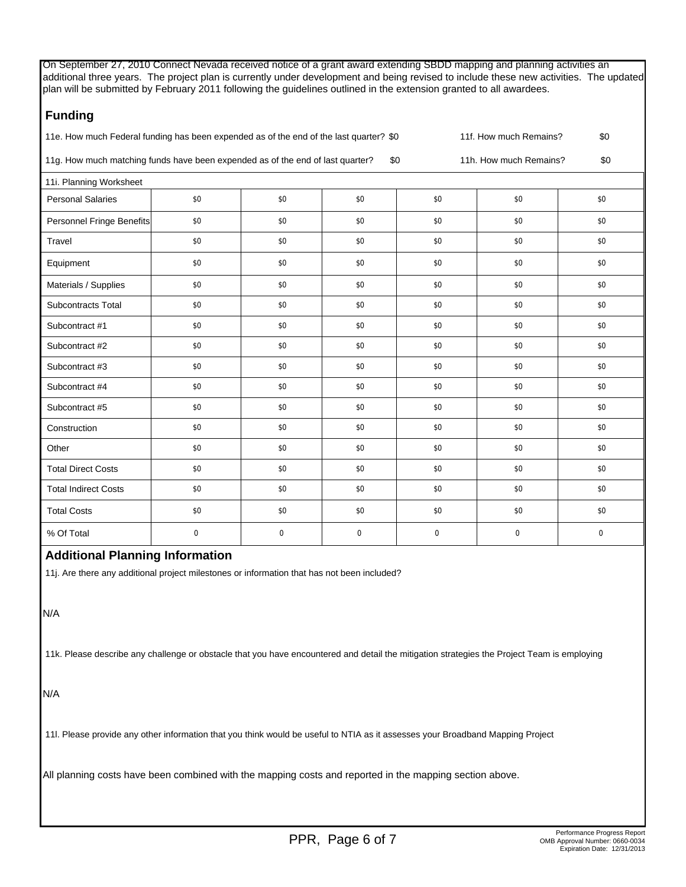On September 27, 2010 Connect Nevada received notice of a grant award extending SBDD mapping and planning activities an additional three years. The project plan is currently under development and being revised to include these new activities. The updated plan will be submitted by February 2011 following the guidelines outlined in the extension granted to all awardees.

# **Funding**

| 11e. How much Federal funding has been expended as of the end of the last quarter? \$0 | 11f. How much Remains? |  |
|----------------------------------------------------------------------------------------|------------------------|--|
|                                                                                        |                        |  |

11g. How much matching funds have been expended as of the end of last quarter? \$0 11h. How much Remains? \$0

| 11i. Planning Worksheet     |             |             |          |          |          |             |  |  |  |
|-----------------------------|-------------|-------------|----------|----------|----------|-------------|--|--|--|
| <b>Personal Salaries</b>    | \$0         | \$0         | \$0      | \$0      | \$0      | \$0         |  |  |  |
| Personnel Fringe Benefits   | \$0         | \$0         | \$0      | \$0      | \$0      | \$0         |  |  |  |
| Travel                      | \$0         | \$0         | \$0      | \$0      | \$0      | \$0         |  |  |  |
| Equipment                   | \$0         | \$0         | \$0      | \$0      | \$0      | \$0         |  |  |  |
| Materials / Supplies        | \$0         | \$0         | \$0      | \$0      | \$0      | \$0         |  |  |  |
| <b>Subcontracts Total</b>   | \$0         | \$0         | \$0      | \$0      | \$0      | \$0         |  |  |  |
| Subcontract #1              | \$0         | \$0         | \$0      | \$0      | \$0      | \$0         |  |  |  |
| Subcontract #2              | \$0         | \$0         | \$0      | \$0      | \$0      | \$0         |  |  |  |
| Subcontract #3              | \$0         | \$0         | \$0      | \$0      | \$0      | \$0         |  |  |  |
| Subcontract #4              | \$0         | \$0         | \$0      | \$0      | \$0      | \$0         |  |  |  |
| Subcontract #5              | \$0         | \$0         | \$0      | \$0      | \$0      | \$0         |  |  |  |
| Construction                | \$0         | \$0         | \$0      | \$0      | \$0      | \$0         |  |  |  |
| Other                       | \$0         | \$0         | \$0      | \$0      | \$0      | \$0         |  |  |  |
| <b>Total Direct Costs</b>   | \$0         | \$0         | \$0      | \$0      | \$0      | \$0         |  |  |  |
| <b>Total Indirect Costs</b> | \$0         | \$0         | \$0      | \$0      | \$0      | \$0         |  |  |  |
| <b>Total Costs</b>          | \$0         | \$0         | \$0      | \$0      | \$0      | \$0         |  |  |  |
| % Of Total                  | $\mathbf 0$ | $\mathbf 0$ | $\Omega$ | $\Omega$ | $\Omega$ | $\mathbf 0$ |  |  |  |

## **Additional Planning Information**

11j. Are there any additional project milestones or information that has not been included?

## N/A

11k. Please describe any challenge or obstacle that you have encountered and detail the mitigation strategies the Project Team is employing

N/A

11l. Please provide any other information that you think would be useful to NTIA as it assesses your Broadband Mapping Project

All planning costs have been combined with the mapping costs and reported in the mapping section above.